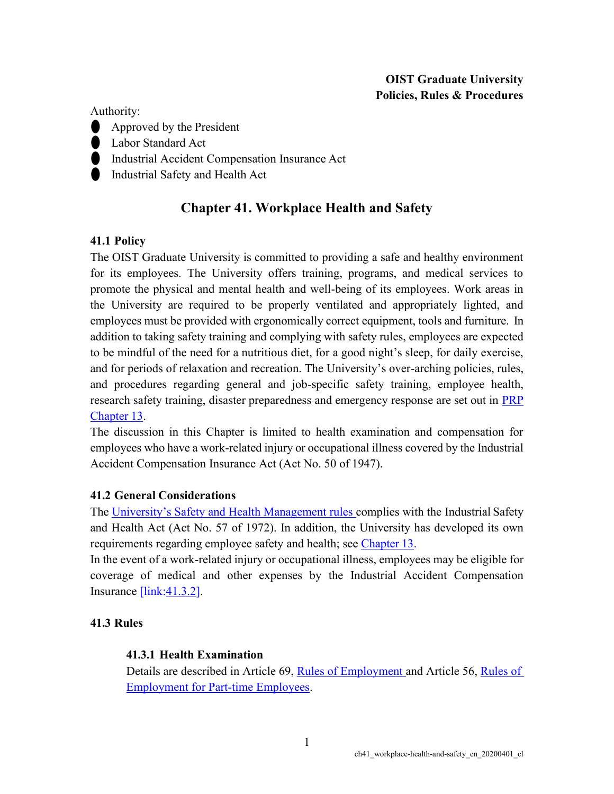## **OIST Graduate University Policies, Rules & Procedures**

Authority:

- ⚫ Approved by the President
- **Labor Standard Act**
- ⚫ Industrial Accident Compensation Insurance Act
- ⚫ Industrial Safety and Health Act

# **Chapter 41. Workplace Health and Safety**

## **41.1 Policy**

The OIST Graduate University is committed to providing a safe and healthy environment for its employees. The University offers training, programs, and medical services to promote the physical and mental health and well-being of its employees. Work areas in the University are required to be properly ventilated and appropriately lighted, and employees must be provided with ergonomically correct equipment, tools and furniture. In addition to taking safety training and complying with safety rules, employees are expected to be mindful of the need for a nutritious diet, for a good night's sleep, for daily exercise, and for periods of relaxation and recreation. The University's over-arching policies, rules, and procedures regarding general and job-specific safety training, employee health, research safety training, disaster preparedness and emergency response are set out in [PRP](https://www.oist.jp/policy-library/13) [Chapter](https://www.oist.jp/policy-library/13) 13.

The discussion in this Chapter is limited to health examination and compensation for employees who have a work-related injury or occupational illness covered by the Industrial Accident Compensation Insurance Act (Act No. 50 of 1947).

## **41.2 General Considerations**

The [University's Safety and Health Management rules](https://groups.oist.jp/rs/industrial-safety-and-health) complies with the Industrial Safety and Health Act (Act No. 57 of 1972). In addition, the University has developed its own requirements regarding employee safety and health; see [Chapter](https://www.oist.jp/policy-library/13) 13.

In the event of a work-related injury or occupational illness, employees may be eligible for coverage of medical and other expenses by the Industrial Accident Compensation Insurance [link[:41.3.2\]](https://www.oist.jp/policy-library/41.3.2).

## **41.3 Rules**

## **41.3.1 Health Examination**

Details are described in Article 69, [Rules of Employment a](https://groups.oist.jp/hr/regulations-guidelines)nd Article 56, [Rules of](https://groups.oist.jp/hr/regulations-guidelines) [Employment for Part-time Employees.](https://groups.oist.jp/hr/regulations-guidelines)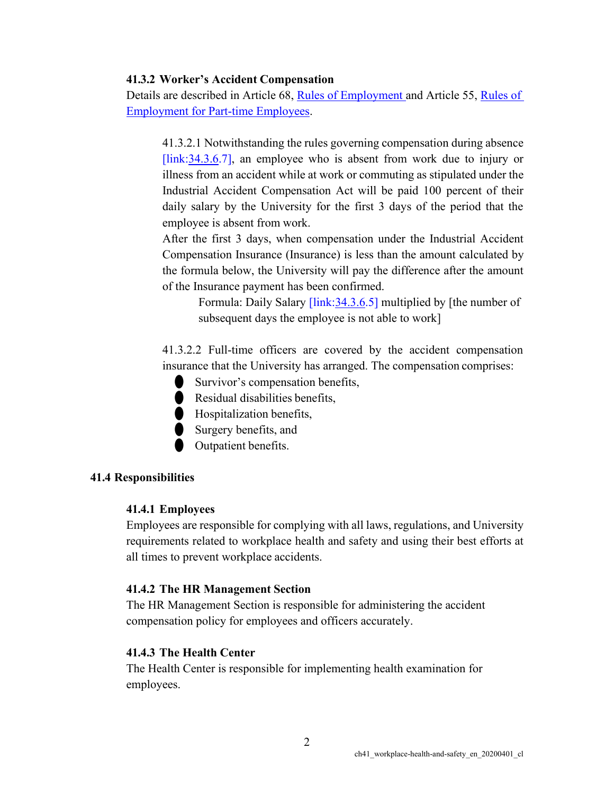### **41.3.2 Worker's Accident Compensation**

Details are described in Article 68, [Rules of Employment a](https://groups.oist.jp/hr/regulations-guidelines)nd Article 55, [Rules of](https://groups.oist.jp/hr/regulations-guidelines) [Employment for Part-time Employees.](https://groups.oist.jp/hr/regulations-guidelines)

41.3.2.1 Notwithstanding the rules governing compensation during absence [link: 34.3.6.7], an employee who is absent from work due to injury or illness from an accident while at work or commuting as stipulated under the Industrial Accident Compensation Act will be paid 100 percent of their daily salary by the University for the first 3 days of the period that the employee is absent from work.

After the first 3 days, when compensation under the Industrial Accident Compensation Insurance (Insurance) is less than the amount calculated by the formula below, the University will pay the difference after the amount of the Insurance payment has been confirmed.

> Formula: Daily Salary [link[:34.3.6.](https://www.oist.jp/policy-library/34.3.6)5] multiplied by [the number of subsequent days the employee is not able to work]

41.3.2.2 Full-time officers are covered by the accident compensation insurance that the University has arranged. The compensation comprises:

⚫ Survivor's compensation benefits,

● Residual disabilities benefits.

- **In Hospitalization benefits,**
- ⚫ Surgery benefits, and
- ⚫ Outpatient benefits.

### **41.4 Responsibilities**

#### **41.4.1 Employees**

Employees are responsible for complying with all laws, regulations, and University requirements related to workplace health and safety and using their best efforts at all times to prevent workplace accidents.

#### **41.4.2 The HR Management Section**

The HR Management Section is responsible for administering the accident compensation policy for employees and officers accurately.

#### **41.4.3 The Health Center**

The Health Center is responsible for implementing health examination for employees.